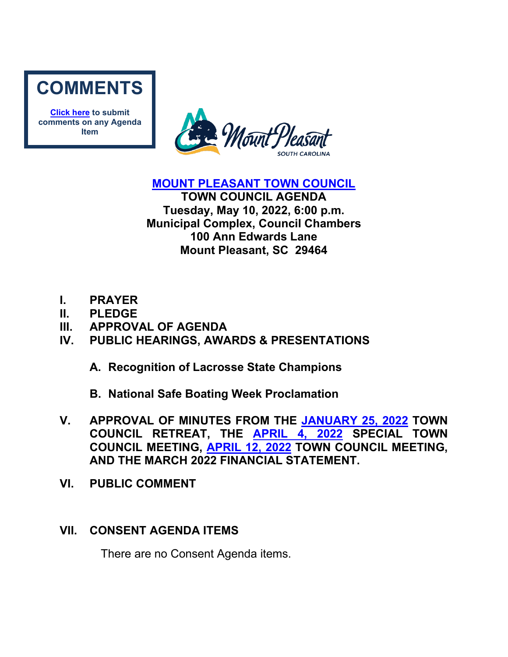

**[Click here](mailto:councilclk@tompsc.com) to submit comments on any Agenda Item**



**[MOUNT PLEASANT TOWN COUNCIL](http://www.tompsc.com/index.aspx?NID=91)** 

**TOWN COUNCIL AGENDA Tuesday, May 10, 2022, 6:00 p.m. Municipal Complex, Council Chambers 100 Ann Edwards Lane Mount Pleasant, SC 29464**

- **I. PRAYER**
- **II. PLEDGE**
- **III. APPROVAL OF AGENDA**
- **IV. PUBLIC HEARINGS, AWARDS & PRESENTATIONS**
	- **A. Recognition of Lacrosse State Champions**
	- **B. National Safe Boating Week Proclamation**
- **V. APPROVAL OF MINUTES FROM THE [JANUARY 25, 2022](https://www.tompsc.com/AgendaCenter/ViewFile/Minutes/_01252022-1131) TOWN COUNCIL RETREAT, THE [APRIL 4, 2022](https://www.tompsc.com/AgendaCenter/ViewFile/Minutes/_04042022-1182) SPECIAL TOWN COUNCIL MEETING, [APRIL 12, 2022](https://www.tompsc.com/AgendaCenter/ViewFile/Minutes/_04122022-1193) TOWN COUNCIL MEETING, AND THE MARCH 2022 FINANCIAL STATEMENT.**
- **VI. PUBLIC COMMENT**

# **VII. CONSENT AGENDA ITEMS**

There are no Consent Agenda items.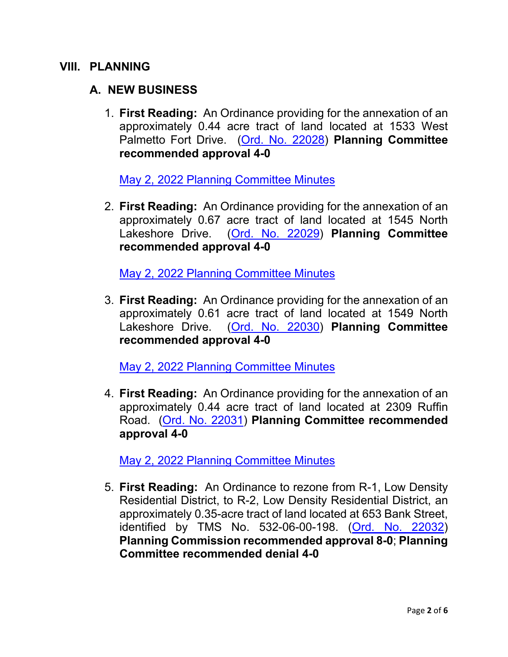#### **VIII. PLANNING**

### **A. NEW BUSINESS**

1. **First Reading:** An Ordinance providing for the annexation of an approximately 0.44 acre tract of land located at 1533 West Palmetto Fort Drive. [\(Ord. No. 22028\)](https://www.tompsc.com/DocumentCenter/View/41663/Ord-No-22028) **Planning Committee recommended approval 4-0** 

[May 2, 2022 Planning Committee Minutes](https://www.tompsc.com/AgendaCenter/ViewFile/Minutes/_05022022-1210)

2. **First Reading:** An Ordinance providing for the annexation of an approximately 0.67 acre tract of land located at 1545 North Lakeshore Drive. [\(Ord. No.](https://www.tompsc.com/DocumentCenter/View/41653/Ord-No-22029) 22029) **Planning Committee recommended approval 4-0** 

[May 2, 2022 Planning Committee Minutes](https://www.tompsc.com/AgendaCenter/ViewFile/Minutes/_05022022-1210)

3. **First Reading:** An Ordinance providing for the annexation of an approximately 0.61 acre tract of land located at 1549 North Lakeshore Drive. [\(Ord. No. 22030\)](https://www.tompsc.com/DocumentCenter/View/41654/Ord-No-22030) **Planning Committee recommended approval 4-0** 

[May 2, 2022 Planning Committee Minutes](https://www.tompsc.com/AgendaCenter/ViewFile/Minutes/_05022022-1210)

4. **First Reading:** An Ordinance providing for the annexation of an approximately 0.44 acre tract of land located at 2309 Ruffin Road. [\(Ord. No. 22031\)](https://www.tompsc.com/DocumentCenter/View/41655/Ord-No-22031) **Planning Committee recommended approval 4-0** 

[May 2, 2022 Planning Committee Minutes](https://www.tompsc.com/AgendaCenter/ViewFile/Minutes/_05022022-1210)

5. **First Reading:** An Ordinance to rezone from R-1, Low Density Residential District, to R-2, Low Density Residential District, an approximately 0.35-acre tract of land located at 653 Bank Street, identified by TMS No. 532-06-00-198. [\(Ord. No. 22032\)](https://www.tompsc.com/DocumentCenter/View/41656/Ord-No-22032) **Planning Commission recommended approval 8-0**; **Planning Committee recommended denial 4-0**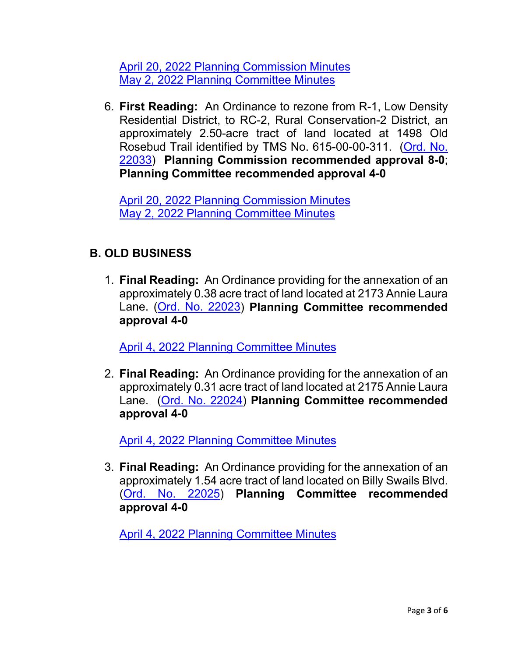[April 20, 2022 Planning Commission Minutes](https://www.tompsc.com/AgendaCenter/ViewFile/Minutes/_04202022-1188) [May 2, 2022 Planning Committee Minutes](https://www.tompsc.com/AgendaCenter/ViewFile/Minutes/_05022022-1210)

6. **First Reading:** An Ordinance to rezone from R-1, Low Density Residential District, to RC-2, Rural Conservation-2 District, an approximately 2.50-acre tract of land located at 1498 Old Rosebud Trail identified by TMS No. 615-00-00-311. [\(Ord. No.](https://www.tompsc.com/DocumentCenter/View/41657/Ord-No-22033)  [22033\)](https://www.tompsc.com/DocumentCenter/View/41657/Ord-No-22033) **Planning Commission recommended approval 8-0**; **Planning Committee recommended approval 4-0** 

[April 20, 2022 Planning Commission Minutes](https://www.tompsc.com/AgendaCenter/ViewFile/Minutes/_04202022-1188) [May 2, 2022 Planning Committee Minutes](https://www.tompsc.com/AgendaCenter/ViewFile/Minutes/_05022022-1210)

### **B. OLD BUSINESS**

1. **Final Reading:** An Ordinance providing for the annexation of an approximately 0.38 acre tract of land located at 2173 Annie Laura Lane. [\(Ord. No. 22023\)](https://www.tompsc.com/DocumentCenter/View/41249/Ord-No-22023) **Planning Committee recommended approval 4-0** 

[April 4, 2022 Planning Committee Minutes](https://www.tompsc.com/AgendaCenter/ViewFile/Minutes/_04042022-1187)

2. **Final Reading:** An Ordinance providing for the annexation of an approximately 0.31 acre tract of land located at 2175 Annie Laura Lane. [\(Ord. No. 22024\)](https://www.tompsc.com/DocumentCenter/View/41250/Ord-No-22024) **Planning Committee recommended approval 4-0** 

[April 4, 2022 Planning Committee Minutes](https://www.tompsc.com/AgendaCenter/ViewFile/Minutes/_04042022-1187)

3. **Final Reading:** An Ordinance providing for the annexation of an approximately 1.54 acre tract of land located on Billy Swails Blvd. [\(Ord. No. 22025\)](https://www.tompsc.com/DocumentCenter/View/41251/Ord-No-22025) **Planning Committee recommended approval 4-0**

[April 4, 2022 Planning Committee Minutes](https://www.tompsc.com/AgendaCenter/ViewFile/Minutes/_04042022-1187)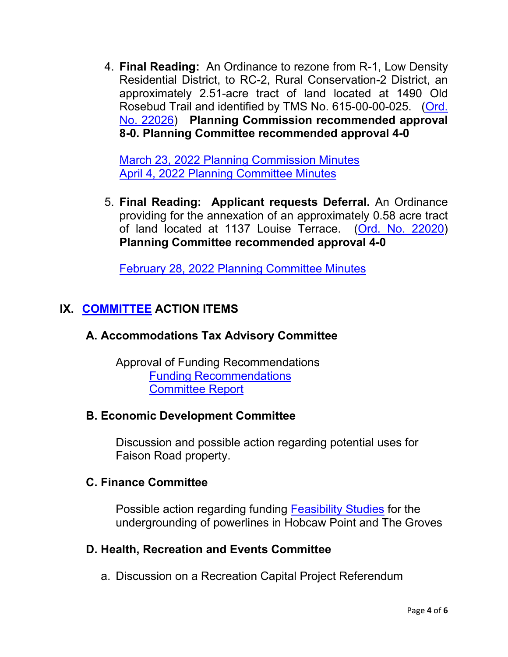4. **Final Reading:** An Ordinance to rezone from R-1, Low Density Residential District, to RC-2, Rural Conservation-2 District, an approximately 2.51-acre tract of land located at 1490 Old Rosebud Trail and identified by TMS No. 615-00-00-025. [\(Ord.](https://www.tompsc.com/DocumentCenter/View/41252/Ord-No-22026)  [No. 22026\)](https://www.tompsc.com/DocumentCenter/View/41252/Ord-No-22026) **Planning Commission recommended approval 8-0. Planning Committee recommended approval 4-0** 

[March 23, 2022 Planning Commission Minutes](https://www.tompsc.com/AgendaCenter/ViewFile/Minutes/_03232022-1171) [April 4, 2022 Planning Committee Minutes](https://www.tompsc.com/AgendaCenter/ViewFile/Minutes/_04042022-1187)

5. **Final Reading: Applicant requests Deferral.** An Ordinance providing for the annexation of an approximately 0.58 acre tract of land located at 1137 Louise Terrace. [\(Ord. No. 22020\)](https://www.tompsc.com/DocumentCenter/View/40831/Ord-No-22020) **Planning Committee recommended approval 4-0**

[February 28, 2022 Planning Committee Minutes](https://gcc02.safelinks.protection.outlook.com/?url=https%3A%2F%2Fwww.tompsc.com%2FAgendaCenter%2FViewFile%2FMinutes%2F_02282022-1162&data=04%7C01%7CCBarrett%40tompsc.com%7C5d4ae3f93072458c6ed708d9fd5a24e4%7C1625c41990b6460eafc73f4628c3f25d%7C0%7C0%7C637819385875051425%7CUnknown%7CTWFpbGZsb3d8eyJWIjoiMC4wLjAwMDAiLCJQIjoiV2luMzIiLCJBTiI6Ik1haWwiLCJXVCI6Mn0%3D%7C3000&sdata=axfyqsRvs5plDOrftfRaKYo0lN5W15YxnnDFpN6pg%2F8%3D&reserved=0)

# **IX. [COMMITTEE](https://www.tompsc.com/agendacenter) ACTION ITEMS**

# **A. Accommodations Tax Advisory Committee**

Approval of Funding Recommendations [Funding Recommendations](https://www.tompsc.com/DocumentCenter/View/41652/ATAC-Funding-Recommend) [Committee Report](https://www.tompsc.com/DocumentCenter/View/41651/ATAC-Action-Report)

# **B. Economic Development Committee**

Discussion and possible action regarding potential uses for Faison Road property.

# **C. Finance Committee**

Possible action regarding funding [Feasibility Studies](https://www.tompsc.com/DocumentCenter/View/41664/05-02-2022-Fin-Comm) for the undergrounding of powerlines in Hobcaw Point and The Groves

# **D. Health, Recreation and Events Committee**

a. Discussion on a Recreation Capital Project Referendum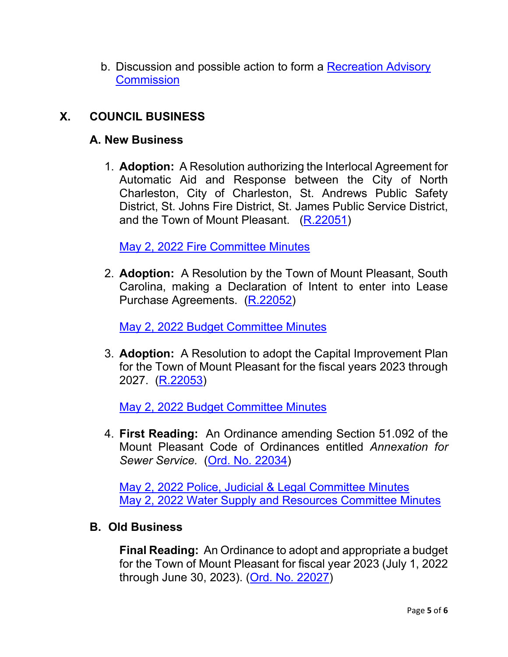b. Discussion and possible action to form a [Recreation Advisory](https://www.tompsc.com/DocumentCenter/View/41662/HRE-Report)  **[Commission](https://www.tompsc.com/DocumentCenter/View/41662/HRE-Report)** 

### **X. COUNCIL BUSINESS**

#### **A. New Business**

1. **Adoption:** A Resolution authorizing the Interlocal Agreement for Automatic Aid and Response between the City of North Charleston, City of Charleston, St. Andrews Public Safety District, St. Johns Fire District, St. James Public Service District, and the Town of Mount Pleasant. [\(R.22051\)](https://www.tompsc.com/DocumentCenter/View/41687/Resolution-No-R22051)

[May 2, 2022 Fire Committee Minutes](https://www.tompsc.com/AgendaCenter/ViewFile/Minutes/_05022022-1205)

2. **Adoption:** A Resolution by the Town of Mount Pleasant, South Carolina, making a Declaration of Intent to enter into Lease Purchase Agreements. [\(R.22052\)](https://www.tompsc.com/DocumentCenter/View/41660/Resolution-No-R22052)

[May 2, 2022 Budget Committee Minutes](https://www.tompsc.com/AgendaCenter/ViewFile/Minutes/_05022022-1207)

3. **Adoption:** A Resolution to adopt the Capital Improvement Plan for the Town of Mount Pleasant for the fiscal years 2023 through 2027. [\(R.22053\)](https://www.tompsc.com/DocumentCenter/View/41661/Resolution-No-R22053)

[May 2, 2022 Budget Committee Minutes](https://www.tompsc.com/AgendaCenter/ViewFile/Minutes/_05022022-1207)

4. **First Reading:** An Ordinance amending Section 51.092 of the Mount Pleasant Code of Ordinances entitled *Annexation for Sewer Service.* [\(Ord. No. 22034\)](https://www.tompsc.com/DocumentCenter/View/41688/Ord-No-22034)

[May 2, 2022 Police, Judicial & Legal Committee Minutes](https://www.tompsc.com/AgendaCenter/ViewFile/Minutes/_05022022-1206) [May 2, 2022 Water Supply and Resources Committee Minutes](https://www.tompsc.com/AgendaCenter/ViewFile/Minutes/_05022022-1208)

#### **B. Old Business**

**Final Reading:** An Ordinance to adopt and appropriate a budget for the Town of Mount Pleasant for fiscal year 2023 (July 1, 2022 through June 30, 2023). [\(Ord. No. 22027\)](https://www.tompsc.com/DocumentCenter/View/41253/Ord-No-22027)